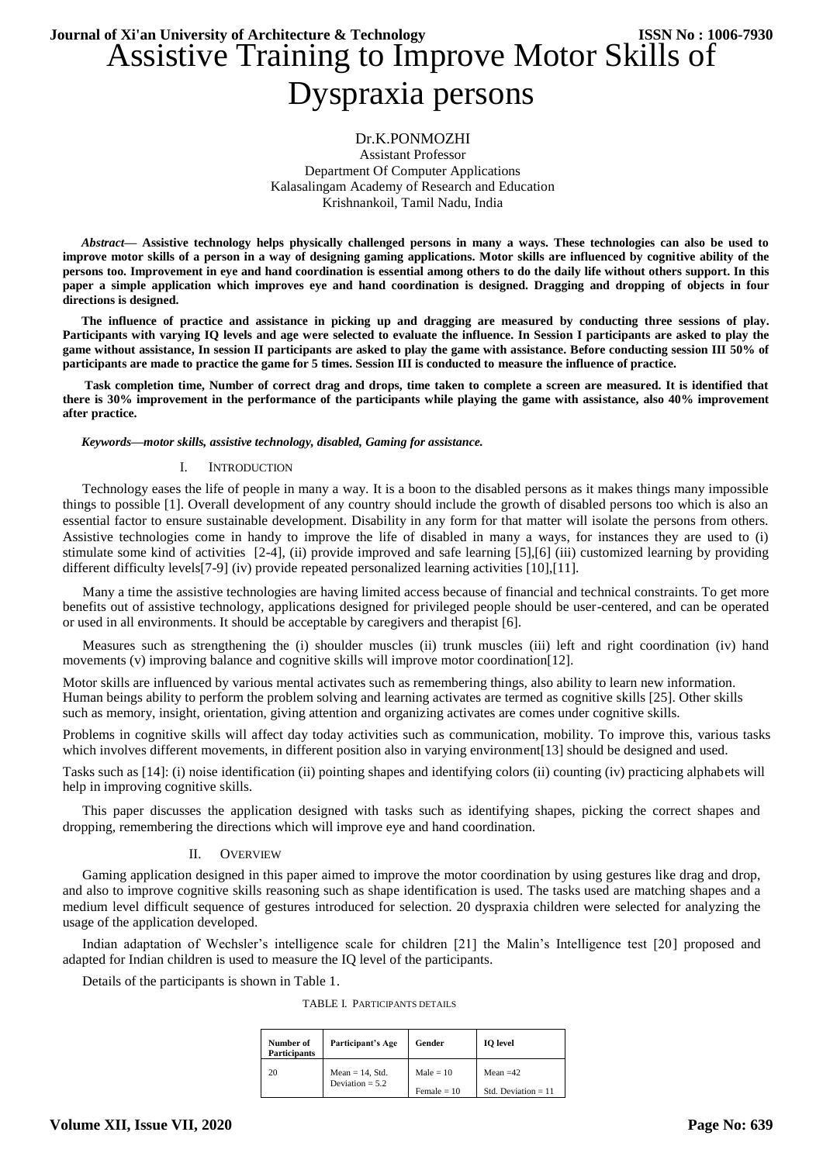# Assistive Training to Improve Motor Skills of Dyspraxia persons **Journal of Xi'an University of Architecture & Technology ISSN No : 1006-7930**

# Dr.K.PONMOZHI

Assistant Professor Department Of Computer Applications Kalasalingam Academy of Research and Education Krishnankoil, Tamil Nadu, India

*Abstract***— Assistive technology helps physically challenged persons in many a ways. These technologies can also be used to improve motor skills of a person in a way of designing gaming applications. Motor skills are influenced by cognitive ability of the persons too. Improvement in eye and hand coordination is essential among others to do the daily life without others support. In this paper a simple application which improves eye and hand coordination is designed. Dragging and dropping of objects in four directions is designed.**

**The influence of practice and assistance in picking up and dragging are measured by conducting three sessions of play. Participants with varying IQ levels and age were selected to evaluate the influence. In Session I participants are asked to play the game without assistance, In session II participants are asked to play the game with assistance. Before conducting session III 50% of participants are made to practice the game for 5 times. Session III is conducted to measure the influence of practice.**

**Task completion time, Number of correct drag and drops, time taken to complete a screen are measured. It is identified that there is 30% improvement in the performance of the participants while playing the game with assistance, also 40% improvement after practice.**

*Keywords—motor skills, assistive technology, disabled, Gaming for assistance.*

#### I. INTRODUCTION

Technology eases the life of people in many a way. It is a boon to the disabled persons as it makes things many impossible things to possible [1]. Overall development of any country should include the growth of disabled persons too which is also an essential factor to ensure sustainable development. Disability in any form for that matter will isolate the persons from others. Assistive technologies come in handy to improve the life of disabled in many a ways, for instances they are used to (i) stimulate some kind of activities [2-4], (ii) provide improved and safe learning [5],[6] (iii) customized learning by providing different difficulty levels[7-9] (iv) provide repeated personalized learning activities [10],[11].

Many a time the assistive technologies are having limited access because of financial and technical constraints. To get more benefits out of assistive technology, applications designed for privileged people should be user-centered, and can be operated or used in all environments. It should be acceptable by caregivers and therapist [6].

Measures such as strengthening the (i) shoulder muscles (ii) trunk muscles (iii) left and right coordination (iv) hand movements (v) improving balance and cognitive skills will improve motor coordination [12].

Motor skills are influenced by various mental activates such as remembering things, also ability to learn new information. Human beings ability to perform the problem solving and learning activates are termed as cognitive skills [25]. Other skills such as memory, insight, orientation, giving attention and organizing activates are comes under cognitive skills.

Problems in cognitive skills will affect day today activities such as communication, mobility. To improve this, various tasks which involves different movements, in different position also in varying environment[13] should be designed and used.

Tasks such as [14]: (i) noise identification (ii) pointing shapes and identifying colors (ii) counting (iv) practicing alphabets will help in improving cognitive skills.

This paper discusses the application designed with tasks such as identifying shapes, picking the correct shapes and dropping, remembering the directions which will improve eye and hand coordination.

### II. OVERVIEW

Gaming application designed in this paper aimed to improve the motor coordination by using gestures like drag and drop, and also to improve cognitive skills reasoning such as shape identification is used. The tasks used are matching shapes and a medium level difficult sequence of gestures introduced for selection. 20 dyspraxia children were selected for analyzing the usage of the application developed.

Indian adaptation of Wechsler's intelligence scale for children [21] the Malin's Intelligence test [20] proposed and adapted for Indian children is used to measure the IQ level of the participants.

Details of the participants is shown in Table 1.

TABLE I. PARTICIPANTS DETAILS

| Number of<br><b>Participants</b> | Participant's Age                       | Gender        | <b>IO</b> level       |
|----------------------------------|-----------------------------------------|---------------|-----------------------|
| 20                               | $Mean = 14$ , Std.<br>Deviation = $5.2$ | Male $= 10$   | Mean $=42$            |
|                                  |                                         | Female $= 10$ | Std. Deviation $= 11$ |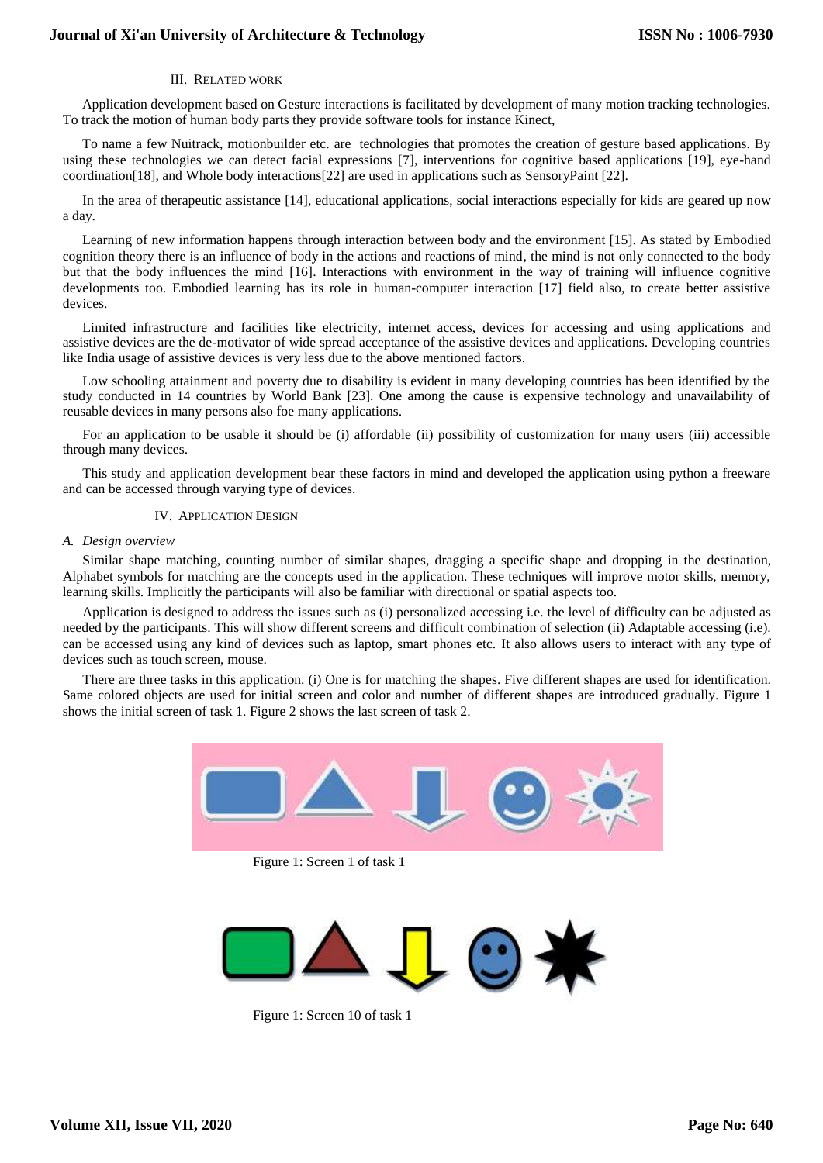# III. RELATED WORK

Application development based on Gesture interactions is facilitated by development of many motion tracking technologies. To track the motion of human body parts they provide software tools for instance Kinect,

To name a few Nuitrack, motionbuilder etc. are technologies that promotes the creation of gesture based applications. By using these technologies we can detect facial expressions [7], interventions for cognitive based applications [19], eye-hand coordination[18], and Whole body interactions[22] are used in applications such as SensoryPaint [22].

In the area of therapeutic assistance [14], educational applications, social interactions especially for kids are geared up now a day.

Learning of new information happens through interaction between body and the environment [15]. As stated by Embodied cognition theory there is an influence of body in the actions and reactions of mind, the mind is not only connected to the body but that the body influences the mind [16]. Interactions with environment in the way of training will influence cognitive developments too. Embodied learning has its role in human-computer interaction [17] field also, to create better assistive devices.

Limited infrastructure and facilities like electricity, internet access, devices for accessing and using applications and assistive devices are the de-motivator of wide spread acceptance of the assistive devices and applications. Developing countries like India usage of assistive devices is very less due to the above mentioned factors.

Low schooling attainment and poverty due to disability is evident in many developing countries has been identified by the study conducted in 14 countries by World Bank [23]. One among the cause is expensive technology and unavailability of reusable devices in many persons also foe many applications.

For an application to be usable it should be (i) affordable (ii) possibility of customization for many users (iii) accessible through many devices.

This study and application development bear these factors in mind and developed the application using python a freeware and can be accessed through varying type of devices.

## IV. APPLICATION DESIGN

### *A. Design overview*

Similar shape matching, counting number of similar shapes, dragging a specific shape and dropping in the destination, Alphabet symbols for matching are the concepts used in the application. These techniques will improve motor skills, memory, learning skills. Implicitly the participants will also be familiar with directional or spatial aspects too.

Application is designed to address the issues such as (i) personalized accessing i.e. the level of difficulty can be adjusted as needed by the participants. This will show different screens and difficult combination of selection (ii) Adaptable accessing (i.e). can be accessed using any kind of devices such as laptop, smart phones etc. It also allows users to interact with any type of devices such as touch screen, mouse.

There are three tasks in this application. (i) One is for matching the shapes. Five different shapes are used for identification. Same colored objects are used for initial screen and color and number of different shapes are introduced gradually. Figure 1 shows the initial screen of task 1. Figure 2 shows the last screen of task 2.



Figure 1: Screen 1 of task 1



Figure 1: Screen 10 of task 1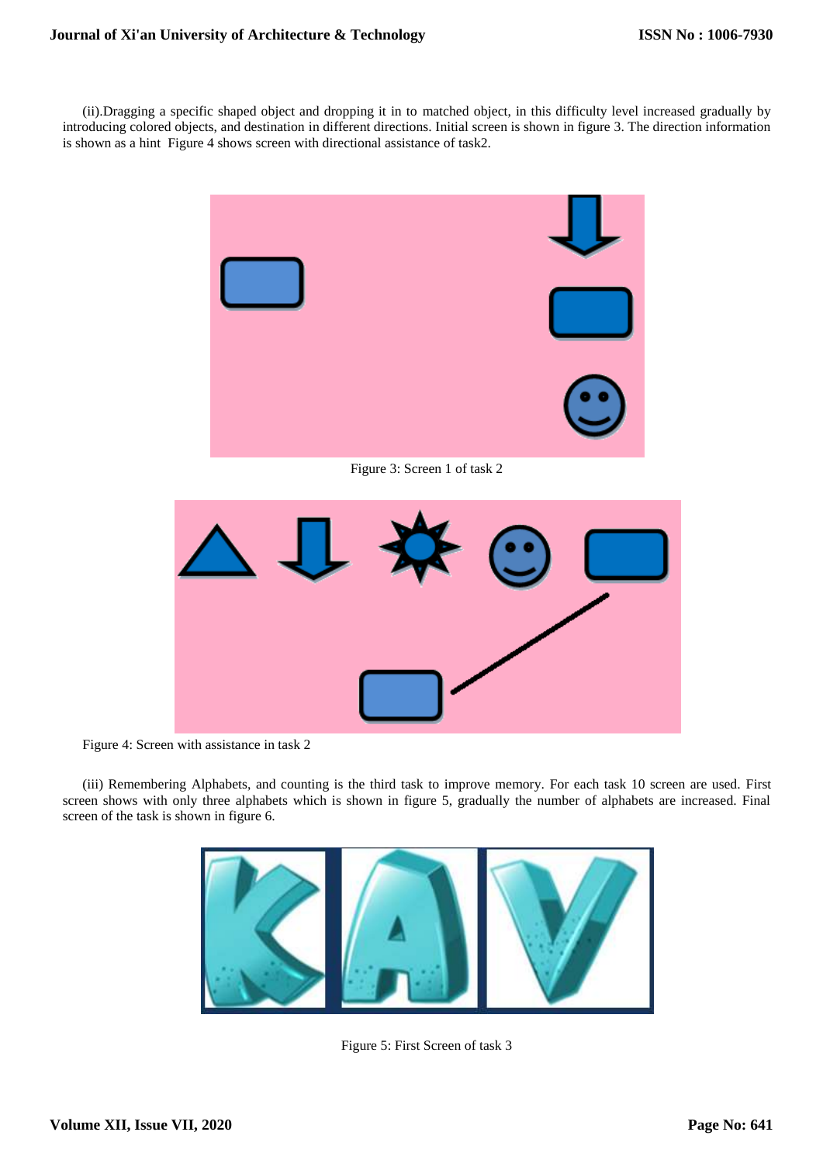(ii).Dragging a specific shaped object and dropping it in to matched object, in this difficulty level increased gradually by introducing colored objects, and destination in different directions. Initial screen is shown in figure 3. The direction information is shown as a hint Figure 4 shows screen with directional assistance of task2.



Figure 3: Screen 1 of task 2



Figure 4: Screen with assistance in task 2

(iii) Remembering Alphabets, and counting is the third task to improve memory. For each task 10 screen are used. First screen shows with only three alphabets which is shown in figure 5, gradually the number of alphabets are increased. Final screen of the task is shown in figure 6.



Figure 5: First Screen of task 3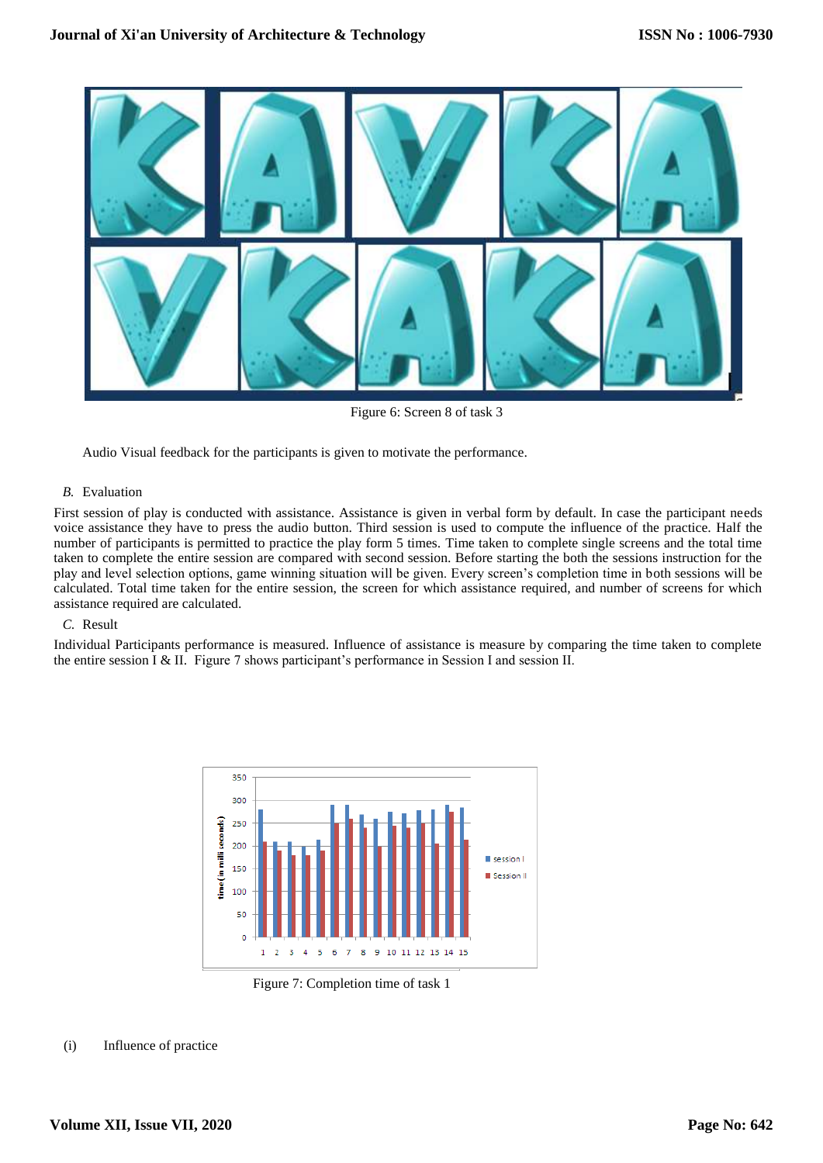

Figure 6: Screen 8 of task 3

Audio Visual feedback for the participants is given to motivate the performance.

# *B.* Evaluation

First session of play is conducted with assistance. Assistance is given in verbal form by default. In case the participant needs voice assistance they have to press the audio button. Third session is used to compute the influence of the practice. Half the number of participants is permitted to practice the play form 5 times. Time taken to complete single screens and the total time taken to complete the entire session are compared with second session. Before starting the both the sessions instruction for the play and level selection options, game winning situation will be given. Every screen's completion time in both sessions will be calculated. Total time taken for the entire session, the screen for which assistance required, and number of screens for which assistance required are calculated.

## *C.* Result

Individual Participants performance is measured. Influence of assistance is measure by comparing the time taken to complete the entire session  $I \& II$ . Figure 7 shows participant's performance in Session I and session II.



Figure 7: Completion time of task 1

### (i) Influence of practice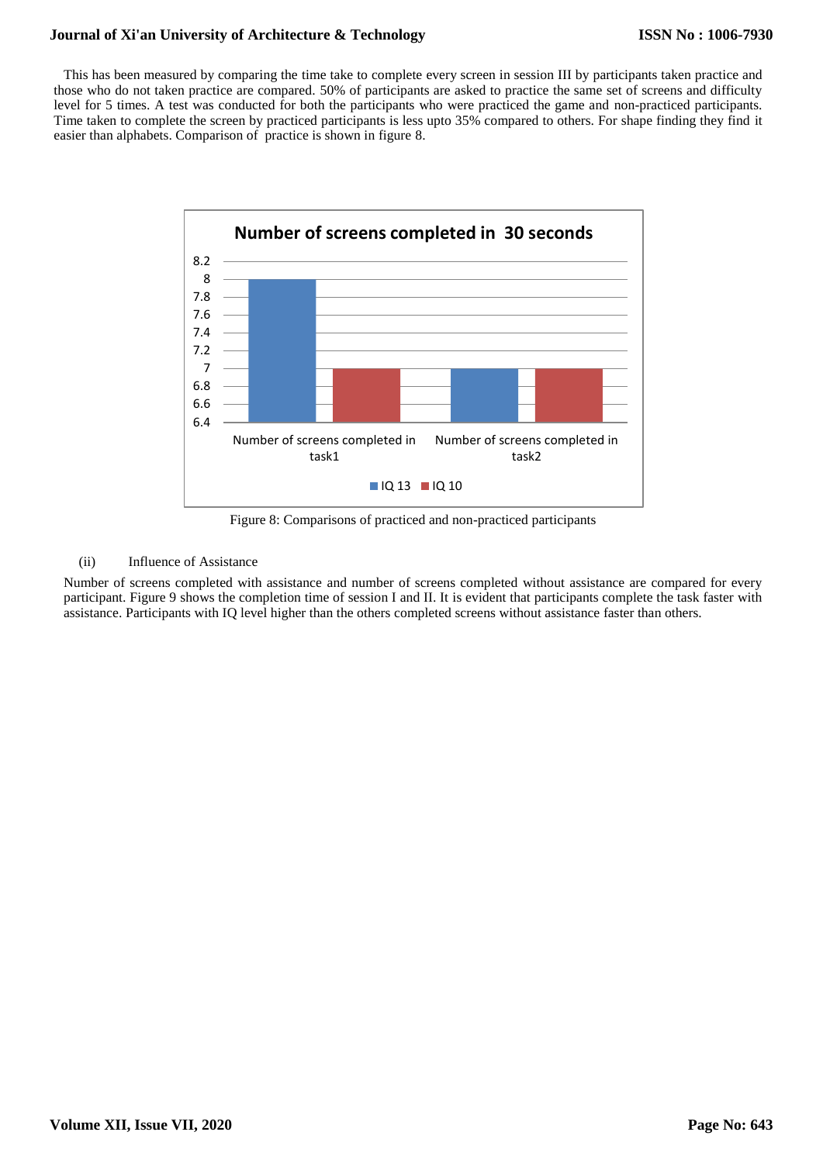# **Journal of Xi'an University of Architecture & Technology**

This has been measured by comparing the time take to complete every screen in session III by participants taken practice and those who do not taken practice are compared. 50% of participants are asked to practice the same set of screens and difficulty level for 5 times. A test was conducted for both the participants who were practiced the game and non-practiced participants. Time taken to complete the screen by practiced participants is less upto 35% compared to others. For shape finding they find it easier than alphabets. Comparison of practice is shown in figure 8.



Figure 8: Comparisons of practiced and non-practiced participants

# (ii) Influence of Assistance

Number of screens completed with assistance and number of screens completed without assistance are compared for every participant. Figure 9 shows the completion time of session I and II. It is evident that participants complete the task faster with assistance. Participants with IQ level higher than the others completed screens without assistance faster than others.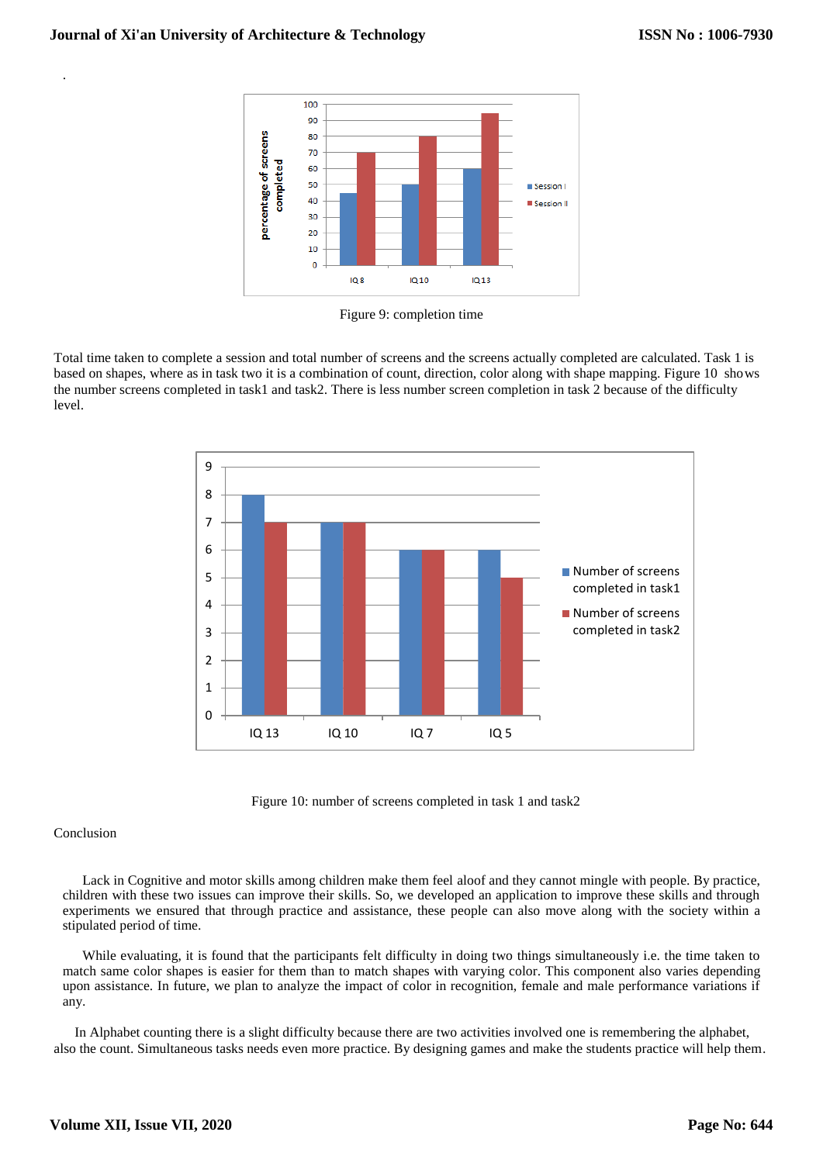

Figure 9: completion time

Total time taken to complete a session and total number of screens and the screens actually completed are calculated. Task 1 is based on shapes, where as in task two it is a combination of count, direction, color along with shape mapping. Figure 10 shows the number screens completed in task1 and task2. There is less number screen completion in task 2 because of the difficulty level.



Figure 10: number of screens completed in task 1 and task2

### Conclusion

.

Lack in Cognitive and motor skills among children make them feel aloof and they cannot mingle with people. By practice, children with these two issues can improve their skills. So, we developed an application to improve these skills and through experiments we ensured that through practice and assistance, these people can also move along with the society within a stipulated period of time.

While evaluating, it is found that the participants felt difficulty in doing two things simultaneously i.e. the time taken to match same color shapes is easier for them than to match shapes with varying color. This component also varies depending upon assistance. In future, we plan to analyze the impact of color in recognition, female and male performance variations if any.

 In Alphabet counting there is a slight difficulty because there are two activities involved one is remembering the alphabet, also the count. Simultaneous tasks needs even more practice. By designing games and make the students practice will help them.